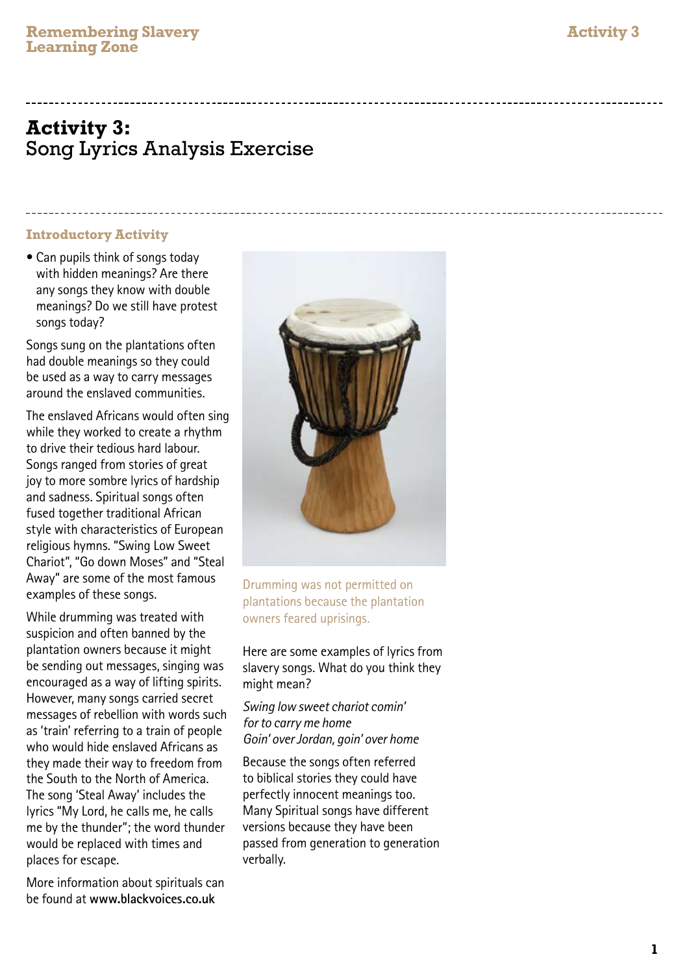# **Activity 3:** Song Lyrics Analysis Exercise

### **Introductory Activity**

• Can pupils think of songs today with hidden meanings? Are there any songs they know with double meanings? Do we still have protest songs today?

Songs sung on the plantations often had double meanings so they could be used as a way to carry messages around the enslaved communities.

The enslaved Africans would often sing while they worked to create a rhythm to drive their tedious hard labour. Songs ranged from stories of great joy to more sombre lyrics of hardship and sadness. Spiritual songs often fused together traditional African style with characteristics of European religious hymns. "Swing Low Sweet Chariot", "Go down Moses" and "Steal Away" are some of the most famous examples of these songs.

While drumming was treated with suspicion and often banned by the plantation owners because it might be sending out messages, singing was encouraged as a way of lifting spirits. However, many songs carried secret messages of rebellion with words such as 'train' referring to a train of people who would hide enslaved Africans as they made their way to freedom from the South to the North of America. The song 'Steal Away' includes the lyrics "My Lord, he calls me, he calls me by the thunder"; the word thunder would be replaced with times and places for escape.

More information about spirituals can be found at **www.blackvoices.co.uk**



Drumming was not permitted on plantations because the plantation owners feared uprisings.

Here are some examples of lyrics from slavery songs. What do you think they might mean?

*Swing low sweet chariot comin' for to carry me home Goin' over Jordan, goin' over home* 

Because the songs often referred to biblical stories they could have perfectly innocent meanings too. Many Spiritual songs have different versions because they have been passed from generation to generation verbally.